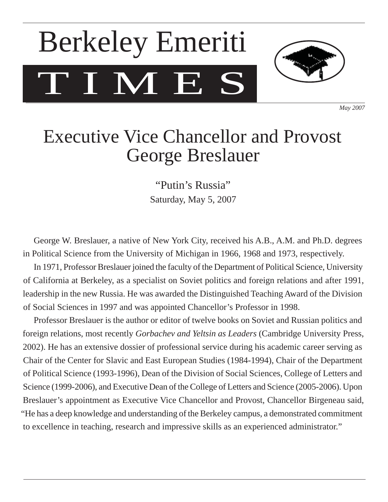# T I M E S Berkeley Emeriti



*May 2007*

## Executive Vice Chancellor and Provost George Breslauer

"Putin's Russia" Saturday, May 5, 2007

 George W. Breslauer, a native of New York City, received his A.B., A.M. and Ph.D. degrees in Political Science from the University of Michigan in 1966, 1968 and 1973, respectively.

 In 1971, Professor Breslauer joined the faculty of the Department of Political Science, University of California at Berkeley, as a specialist on Soviet politics and foreign relations and after 1991, leadership in the new Russia. He was awarded the Distinguished Teaching Award of the Division of Social Sciences in 1997 and was appointed Chancellor's Professor in 1998.

 Professor Breslauer is the author or editor of twelve books on Soviet and Russian politics and foreign relations, most recently *Gorbachev and Yeltsin as Leaders* (Cambridge University Press, 2002). He has an extensive dossier of professional service during his academic career serving as Chair of the Center for Slavic and East European Studies (1984-1994), Chair of the Department of Political Science (1993-1996), Dean of the Division of Social Sciences, College of Letters and Science (1999-2006), and Executive Dean of the College of Letters and Science (2005-2006). Upon Breslauer's appointment as Executive Vice Chancellor and Provost, Chancellor Birgeneau said, "He has a deep knowledge and understanding of the Berkeley campus, a demonstrated commitment to excellence in teaching, research and impressive skills as an experienced administrator."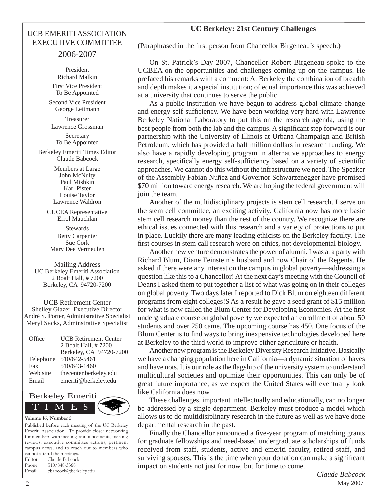#### UCB EMERITI ASSOCIATION EXECUTIVE COMMITTEE

#### 2006-2007

President Richard Malkin First Vice President To Be Appointed

Second Vice President George Leitmann

Treasurer Lawrence Grossman

Secretary To Be Appointed

Berkeley Emeriti Times Editor Claude Babcock

> Members at Large John McNulty Paul Mishkin Karl Pister Louise Taylor Lawrence Waldron

CUCEA Representative Errol Mauchlan

Stewards Betty Carpenter Sue Cork Mary Dee Vermeulen

Mailing Address UC Berkeley Emeriti Association 2 Boalt Hall, # 7200 Berkeley, CA 94720-7200

UCB Retirement Center Shelley Glazer, Executive Director André S. Porter, Administrative Specialist Meryl Sacks, Adminstrative Specialist

| Office    | <b>UCB Retirement Center</b><br>2 Boalt Hall, #7200 |
|-----------|-----------------------------------------------------|
|           | Berkeley, CA 94720-7200                             |
| Telephone | 510/642-5461                                        |
| Fax       | 510/643-1460                                        |
| Web site  | thecenter.berkeley.edu                              |
| Email     | emeriti@berkeley.edu                                |



Published before each meeting of the UC Berkeley Emeriti Association: To provide closer networking for members with meeting announcements, meeting reviews, executive committee actions, pertinent campus news, and to reach out to members who cannot attend the meetings. Editor: Claude Babcock Phone: 510/848-3368 Email: cbabcock@berkeley.edu

#### **UC Berkeley: 21st Century Challenges**

(Paraphrased in the first person from Chancellor Birgeneau's speech.)

 On St. Patrick's Day 2007, Chancellor Robert Birgeneau spoke to the UCBEA on the opportunities and challenges coming up on the campus. He prefaced his remarks with a comment: At Berkeley the combination of breadth and depth makes it a special institution; of equal importance this was achieved at a university that continues to serve the public.

 As a public institution we have begun to address global climate change and energy self-sufficiency. We have been working very hard with Lawrence Berkeley National Laboratory to put this on the research agenda, using the best people from both the lab and the campus. A significant step forward is our partnership with the University of Illinois at Urbana-Champaign and British Petroleum, which has provided a half million dollars in research funding. We also have a rapidly developing program in alternative approaches to energy research, specifically energy self-sufficiency based on a variety of scientific approaches. We cannot do this without the infrastructure we need. The Speaker of the Assembly Fabian Nuñez and Governor Schwarzenegger have promised \$70 million toward energy research. We are hoping the federal government will join the team.

 Another of the multidisciplinary projects is stem cell research. I serve on the stem cell committee, an exciting activity. California now has more basic stem cell research money than the rest of the country. We recognize there are ethical issues connected with this research and a variety of protections to put in place. Luckily there are many leading ethicists on the Berkeley faculty. The first courses in stem call research were on ethics, not developmental biology.

 Another new venture demonstrates the power of alumni. I was at a party with Richard Blum, Diane Feinstein's husband and now Chair of the Regents. He asked if there were any interest on the campus in global poverty—addressing a question like this to a Chancellor! At the next day's meeting with the Council of Deans I asked them to put together a list of what was going on in their colleges on global poverty. Two days later I reported to Dick Blum on eighteen different programs from eight colleges!S As a result he gave a seed grant of \$15 million for what is now called the Blum Center for Developing Economies. At the first undergraduate course on global poverty we expected an enrollment of about 50 students and over 250 came. The upcoming course has 450. One focus of the Blum Center is to find ways to bring inexpensive technologies developed here at Berkeley to the third world to improve either agriculture or health.

 Another new program is the Berkeley Diversity Research Initiative. Basically we have a changing population here in California—a dynamic situation of haves and have nots. It is our role as the flagship of the university system to understand multicultural societies and optimize their opportunities. This can only be of great future importance, as we expect the United States will eventually look like California does now.

 These challenges, important intellectually and educationally, can no longer be addressed by a single department. Berkeley must produce a model which allows us to do multidisiplinary research in the future as well as we have done departmental research in the past.

Finally the Chancellor announced a five-year program of matching grants for graduate fellowships and need-based undergraduate scholarships of funds received from staff, students, active and emeriti faculty, retired staff, and surviving spouses. This is the time when your donation can make a significant impact on students not just for now, but for time to come.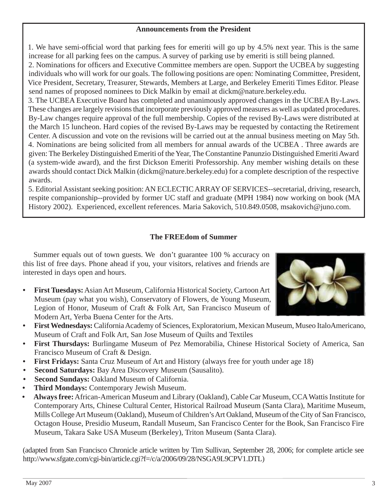#### **Announcements from the President**

1. We have semi-official word that parking fees for emeriti will go up by 4.5% next year. This is the same increase for all parking fees on the campus. A survey of parking use by emeriti is still being planned.

2. Nominations for officers and Executive Committee members are open. Support the UCBEA by suggesting individuals who will work for our goals. The following positions are open: Nominating Committee, President, Vice President, Secretary, Treasurer, Stewards, Members at Large, and Berkeley Emeriti Times Editor. Please send names of proposed nominees to Dick Malkin by email at dickm@nature.berkeley.edu.

3. The UCBEA Executive Board has completed and unanimously approved changes in the UCBEA By-Laws. These changes are largely revisions that incorporate previously approved measures as well as updated procedures. By-Law changes require approval of the full membership. Copies of the revised By-Laws were distributed at the March 15 luncheon. Hard copies of the revised By-Laws may be requested by contacting the Retirement Center. A discussion and vote on the revisions will be carried out at the annual business meeting on May 5th. 4. Nominations are being solicited from all members for annual awards of the UCBEA . Three awards are given: The Berkeley Distinguished Emeriti of the Year, The Constantine Panunzio Distinguished Emeriti Award (a system-wide award), and the first Dickson Emeriti Professorship. Any member wishing details on these awards should contact Dick Malkin (dickm@nature.berkeley.edu) for a complete description of the respective awards.

5. Editorial Assistant seeking position: AN ECLECTIC ARRAY OF SERVICES--secretarial, driving, research, respite companionship--provided by former UC staff and graduate (MPH 1984) now working on book (MA History 2002). Experienced, excellent references. Maria Sakovich, 510.849.0508, msakovich@juno.com.

#### **The FREEdom of Summer**

 Summer equals out of town guests. We don't guarantee 100 % accuracy on this list of free days. Phone ahead if you, your visitors, relatives and friends are interested in days open and hours.

**First Tuesdays:** Asian Art Museum, California Historical Society, Cartoon Art Museum (pay what you wish), Conservatory of Flowers, de Young Museum, Legion of Honor, Museum of Craft & Folk Art, San Francisco Museum of Modern Art, Yerba Buena Center for the Arts. **•**



- **First Wednesdays:** California Academy of Sciences, Exploratorium, Mexican Museum, Museo ItaloAmericano, Museum of Craft and Folk Art, San Jose Museum of Quilts and Textiles **•**
- **First Thursdays:** Burlingame Museum of Pez Memorabilia, Chinese Historical Society of America, San Francisco Museum of Craft & Design. **•**
- **First Fridays:** Santa Cruz Museum of Art and History (always free for youth under age 18) **•**
- **Second Saturdays:** Bay Area Discovery Museum (Sausalito). **•**
- **Second Sundays:** Oakland Museum of California. **•**
- **Third Mondays:** Contemporary Jewish Museum. **•**
- **Always free:** African-American Museum and Library (Oakland), Cable Car Museum, CCA Wattis Institute for Contemporary Arts, Chinese Cultural Center, Historical Railroad Museum (Santa Clara), Maritime Museum, Mills College Art Museum (Oakland), Museum of Children's Art Oakland, Museum of the City of San Francisco, Octagon House, Presidio Museum, Randall Museum, San Francisco Center for the Book, San Francisco Fire Museum, Takara Sake USA Museum (Berkeley), Triton Museum (Santa Clara). **•**

(adapted from San Francisco Chronicle article written by Tim Sullivan, September 28, 2006; for complete article see http://www.sfgate.com/cgi-bin/article.cgi?f=/c/a/2006/09/28/NSGA9L9CPV1.DTL)